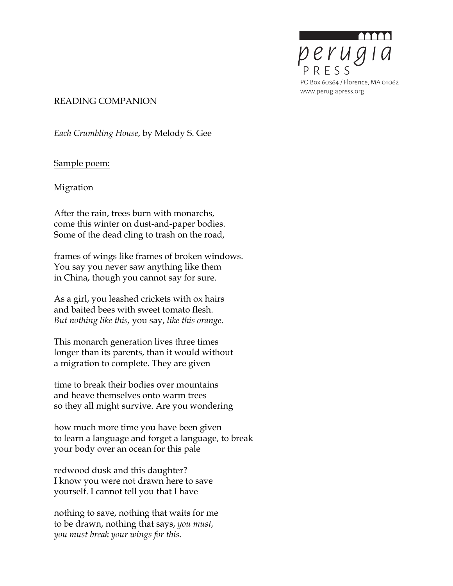

## READING COMPANION

*Each Crumbling House*, by Melody S. Gee

Sample poem:

Migration

After the rain, trees burn with monarchs, come this winter on dust-and-paper bodies. Some of the dead cling to trash on the road,

frames of wings like frames of broken windows. You say you never saw anything like them in China, though you cannot say for sure.

As a girl, you leashed crickets with ox hairs and baited bees with sweet tomato flesh. *But nothing like this,* you say, *like this orange*.

This monarch generation lives three times longer than its parents, than it would without a migration to complete. They are given

time to break their bodies over mountains and heave themselves onto warm trees so they all might survive. Are you wondering

how much more time you have been given to learn a language and forget a language, to break your body over an ocean for this pale

redwood dusk and this daughter? I know you were not drawn here to save yourself. I cannot tell you that I have

nothing to save, nothing that waits for me to be drawn, nothing that says, *you must, you must break your wings for this.*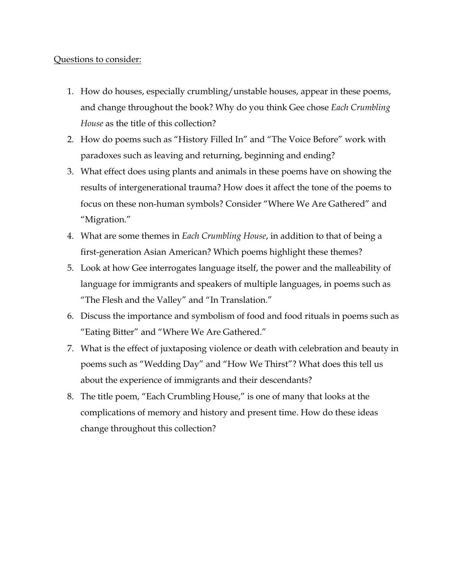## Questions to consider:

- 1. How do houses, especially crumbling/unstable houses, appear in these poems, and change throughout the book? Why do you think Gee chose *Each Crumbling House* as the title of this collection?
- 2. How do poems such as "History Filled In" and "The Voice Before" work with paradoxes such as leaving and returning, beginning and ending?
- 3. What effect does using plants and animals in these poems have on showing the results of intergenerational trauma? How does it affect the tone of the poems to focus on these non-human symbols? Consider "Where We Are Gathered" and "Migration."
- 4. What are some themes in *Each Crumbling House*, in addition to that of being a first-generation Asian American? Which poems highlight these themes?
- 5. Look at how Gee interrogates language itself, the power and the malleability of language for immigrants and speakers of multiple languages, in poems such as "The Flesh and the Valley" and "In Translation."
- 6. Discuss the importance and symbolism of food and food rituals in poems such as "Eating Bitter" and "Where We Are Gathered."
- 7. What is the effect of juxtaposing violence or death with celebration and beauty in poems such as "Wedding Day" and "How We Thirst"? What does this tell us about the experience of immigrants and their descendants?
- 8. The title poem, "Each Crumbling House," is one of many that looks at the complications of memory and history and present time. How do these ideas change throughout this collection?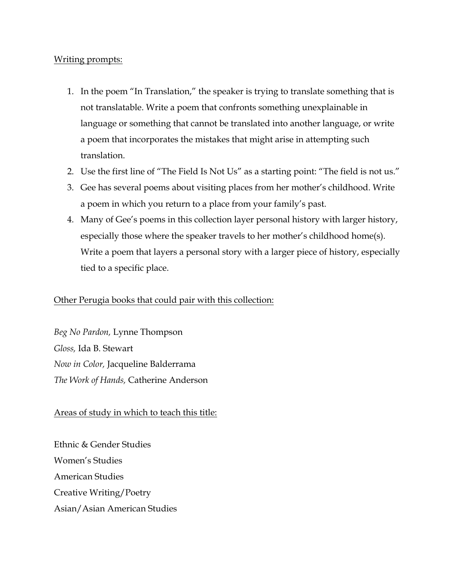## Writing prompts:

- 1. In the poem "In Translation," the speaker is trying to translate something that is not translatable. Write a poem that confronts something unexplainable in language or something that cannot be translated into another language, or write a poem that incorporates the mistakes that might arise in attempting such translation.
- 2. Use the first line of "The Field Is Not Us" as a starting point: "The field is not us."
- 3. Gee has several poems about visiting places from her mother's childhood. Write a poem in which you return to a place from your family's past.
- 4. Many of Gee's poems in this collection layer personal history with larger history, especially those where the speaker travels to her mother's childhood home(s). Write a poem that layers a personal story with a larger piece of history, especially tied to a specific place.

# Other Perugia books that could pair with this collection:

*Beg No Pardon,* Lynne Thompson *Gloss,* Ida B. Stewart *Now in Color,* Jacqueline Balderrama *The Work of Hands,* Catherine Anderson

# Areas of study in which to teach this title:

Ethnic & Gender Studies Women's Studies American Studies Creative Writing/Poetry Asian/Asian American Studies